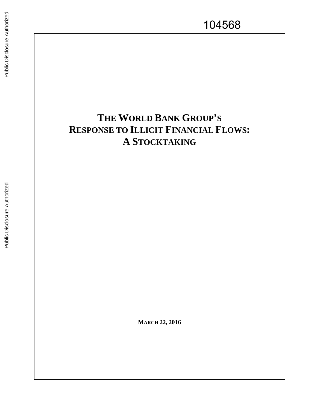# **THE WORLD BANK GROUP 'S RESPONSE TO ILLICIT FINANCIAL FLOWS : A** STOCKTAKING **STOCKTAKING MARCH 22, 2016**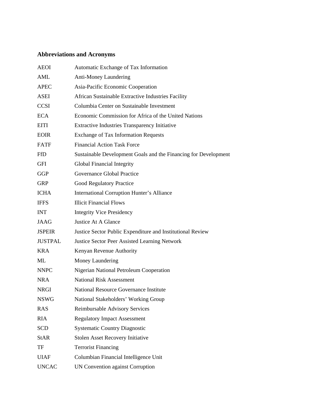# **Abbreviations and Acronyms**

| <b>AEOI</b>    | Automatic Exchange of Tax Information                           |
|----------------|-----------------------------------------------------------------|
| AML            | <b>Anti-Money Laundering</b>                                    |
| <b>APEC</b>    | Asia-Pacific Economic Cooperation                               |
| ASEI           | African Sustainable Extractive Industries Facility              |
| <b>CCSI</b>    | Columbia Center on Sustainable Investment                       |
| <b>ECA</b>     | Economic Commission for Africa of the United Nations            |
| <b>EITI</b>    | <b>Extractive Industries Transparency Initiative</b>            |
| <b>EOIR</b>    | <b>Exchange of Tax Information Requests</b>                     |
| <b>FATF</b>    | <b>Financial Action Task Force</b>                              |
| <b>FfD</b>     | Sustainable Development Goals and the Financing for Development |
| GFI            | Global Financial Integrity                                      |
| <b>GGP</b>     | Governance Global Practice                                      |
| <b>GRP</b>     | <b>Good Regulatory Practice</b>                                 |
| <b>ICHA</b>    | International Corruption Hunter's Alliance                      |
| <b>IFFS</b>    | <b>Illicit Financial Flows</b>                                  |
| <b>INT</b>     | <b>Integrity Vice Presidency</b>                                |
| <b>JAAG</b>    | Justice At A Glance                                             |
| <b>JSPEIR</b>  | Justice Sector Public Expenditure and Institutional Review      |
| <b>JUSTPAL</b> | <b>Justice Sector Peer Assisted Learning Network</b>            |
| <b>KRA</b>     | Kenyan Revenue Authority                                        |
| ML             | Money Laundering                                                |
| <b>NNPC</b>    | <b>Nigerian National Petroleum Cooperation</b>                  |
| <b>NRA</b>     | <b>National Risk Assessment</b>                                 |
| <b>NRGI</b>    | <b>National Resource Governance Institute</b>                   |
| <b>NSWG</b>    | National Stakeholders' Working Group                            |
| <b>RAS</b>     | Reimbursable Advisory Services                                  |
| <b>RIA</b>     | <b>Regulatory Impact Assessment</b>                             |
| <b>SCD</b>     | <b>Systematic Country Diagnostic</b>                            |
| <b>StAR</b>    | <b>Stolen Asset Recovery Initiative</b>                         |
| TF             | <b>Terrorist Financing</b>                                      |
| <b>UIAF</b>    | Columbian Financial Intelligence Unit                           |
| <b>UNCAC</b>   | <b>UN Convention against Corruption</b>                         |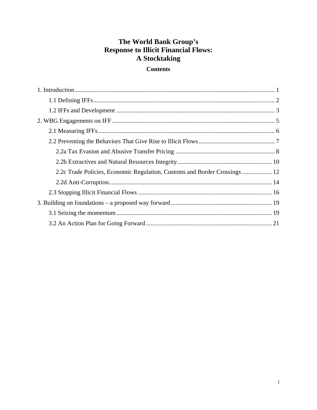# The World Bank Group's **Response to Illicit Financial Flows:** A Stocktaking

# **Contents**

| 2.2c Trade Policies, Economic Regulation, Customs and Border Crossings  12 |  |
|----------------------------------------------------------------------------|--|
|                                                                            |  |
|                                                                            |  |
|                                                                            |  |
|                                                                            |  |
|                                                                            |  |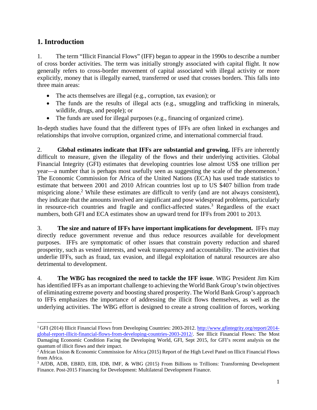# **1. Introduction**

l

1. The term "Illicit Financial Flows" (IFF) began to appear in the 1990s to describe a number of cross border activities. The term was initially strongly associated with capital flight. It now generally refers to cross-border movement of capital associated with illegal activity or more explicitly, money that is illegally earned, transferred or used that crosses borders. This falls into three main areas:

- The acts themselves are illegal (e.g., corruption, tax evasion); or
- The funds are the results of illegal acts (e.g., smuggling and trafficking in minerals, wildlife, drugs, and people); or
- The funds are used for illegal purposes (e.g., financing of organized crime).

In-depth studies have found that the different types of IFFs are often linked in exchanges and relationships that involve corruption, organized crime, and international commercial fraud.

2. **Global estimates indicate that IFFs are substantial and growing.** IFFs are inherently difficult to measure, given the illegality of the flows and their underlying activities. Global Financial Integrity (GFI) estimates that developing countries lose almost US\$ one trillion per year—a number that is perhaps most usefully seen as suggesting the scale of the phenomenon.<sup>1</sup> The Economic Commission for Africa of the United Nations (ECA) has used trade statistics to estimate that between 2001 and 2010 African countries lost up to US \$407 billion from trade mispricing alone.<sup>2</sup> While these estimates are difficult to verify (and are not always consistent), they indicate that the amounts involved are significant and pose widespread problems, particularly in resource-rich countries and fragile and conflict-affected states.<sup>3</sup> Regardless of the exact numbers, both GFI and ECA estimates show an upward trend for IFFs from 2001 to 2013.

3. **The size and nature of IFFs have important implications for development.** IFFs may directly reduce government revenue and thus reduce resources available for development purposes. IFFs are symptomatic of other issues that constrain poverty reduction and shared prosperity, such as vested interests, and weak transparency and accountability. The activities that underlie IFFs, such as fraud, tax evasion, and illegal exploitation of natural resources are also detrimental to development.

4. **The WBG has recognized the need to tackle the IFF issue**. WBG President Jim Kim has identified IFFs as an important challenge to achieving the World Bank Group's twin objectives of eliminating extreme poverty and boosting shared prosperity. The World Bank Group's approach to IFFs emphasizes the importance of addressing the illicit flows themselves, as well as the underlying activities. The WBG effort is designed to create a strong coalition of forces, working

<sup>1</sup> GFI (2014) Illicit Financial Flows from Developing Countries: 2003-2012. http://www.gfintegrity.org/report/2014 global-report-illicit-financial-flows-from-developing-countries-2003-2012/. See Illicit Financial Flows: The Most Damaging Economic Condition Facing the Developing World, GFI, Sept 2015, for GFI's recent analysis on the quantum of illicit flows and their impact.

<sup>&</sup>lt;sup>2</sup> African Union & Economic Commission for Africa (2015) Report of the High Level Panel on Illicit Financial Flows from Africa.

<sup>&</sup>lt;sup>3</sup> AfDB, ADB, EBRD, EIB, IDB, IMF, & WBG (2015) From Billions to Trillions: Transforming Development Finance. Post-2015 Financing for Development: Multilateral Development Finance.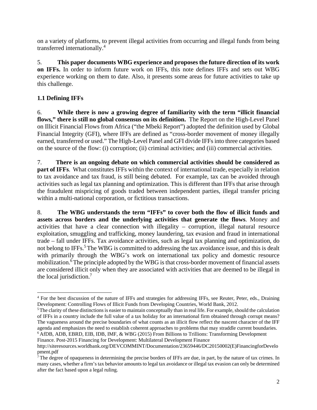on a variety of platforms, to prevent illegal activities from occurring and illegal funds from being transferred internationally.4

5. **This paper documents WBG experience and proposes the future direction of its work on IFFs.** In order to inform future work on IFFs, this note defines IFFs and sets out WBG experience working on them to date. Also, it presents some areas for future activities to take up this challenge.

# **1.1 Defining IFFs**

l

6. **While there is now a growing degree of familiarity with the term "illicit financial flows," there is still no global consensus on its definition.** The Report on the High-Level Panel on Illicit Financial Flows from Africa ("the Mbeki Report") adopted the definition used by Global Financial Integrity (GFI), where IFFs are defined as "cross-border movement of money illegally earned, transferred or used." The High-Level Panel and GFI divide IFFs into three categories based on the source of the flow: (i) corruption; (ii) criminal activities; and (iii) commercial activities.

7. **There is an ongoing debate on which commercial activities should be considered as part of IFFs.** What constitutes IFFs within the context of international trade, especially in relation to tax avoidance and tax fraud, is still being debated. For example, tax can be avoided through activities such as legal tax planning and optimization. This is different than IFFs that arise through the fraudulent mispricing of goods traded between independent parties, illegal transfer pricing within a multi-national corporation, or fictitious transactions.

8. **The WBG understands the term "IFFs" to cover both the flow of illicit funds and assets across borders and the underlying activities that generate the flows**. Money and activities that have a clear connection with illegality – corruption, illegal natural resource exploitation, smuggling and trafficking, money laundering, tax evasion and fraud in international trade – fall under IFFs. Tax avoidance activities, such as legal tax planning and optimization, do not belong to IFFs.<sup>5</sup> The WBG is committed to addressing the tax avoidance issue, and this is dealt with primarily through the WBG's work on international tax policy and domestic resource mobilization.<sup>6</sup> The principle adopted by the WBG is that cross-border movement of financial assets are considered illicit only when they are associated with activities that are deemed to be illegal in the local jurisdiction.7

Finance. Post-2015 Financing for Development: Multilateral Development Finance

<sup>&</sup>lt;sup>4</sup> For the best discussion of the nature of IFFs and strategies for addressing IFFs, see Reuter, Peter, eds., Draining Development: Controlling Flows of Illicit Funds from Developing Countries, World Bank, 2012.

 $5$ The clarity of these distinctions is easier to maintain conceptually than in real life. For example, should the calculation of IFFs in a country include the full value of a tax holiday for an international firm obtained through corrupt means? The vagueness around the precise boundaries of what counts as an illicit flow reflect the nascent character of the IFF agenda and emphasizes the need to establish coherent approaches to problems that may straddle current boundaries. 6 AfDB, ADB, EBRD, EIB, IDB, IMF, & WBG (2015) From Billions to Trillions: Transforming Development

http://siteresources.worldbank.org/DEVCOMMINT/Documentation/23659446/DC20150002(E)FinancingforDevelo pment.pdf

 $\hat{7}$ The degree of opaqueness in determining the precise borders of IFFs are due, in part, by the nature of tax crimes. In many cases, whether a firm's tax behavior amounts to legal tax avoidance or illegal tax evasion can only be determined after the fact based upon a legal ruling.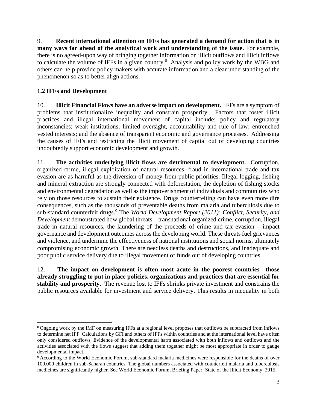9. **Recent international attention on IFFs has generated a demand for action that is in many ways far ahead of the analytical work and understanding of the issue.** For example, there is no agreed-upon way of bringing together information on illicit outflows and illicit inflows to calculate the volume of IFFs in a given country. $8$  Analysis and policy work by the WBG and others can help provide policy makers with accurate information and a clear understanding of the phenomenon so as to better align actions.

# **1.2 IFFs and Development**

l

10. **Illicit Financial Flows have an adverse impact on development.** IFFs are a symptom of problems that institutionalize inequality and constrain prosperity. Factors that foster illicit practices and illegal international movement of capital include: policy and regulatory inconstancies; weak institutions; limited oversight, accountability and rule of law; entrenched vested interests; and the absence of transparent economic and governance processes. Addressing the causes of IFFs and restricting the illicit movement of capital out of developing countries undoubtedly support economic development and growth.

11. **The activities underlying illicit flows are detrimental to development.** Corruption, organized crime, illegal exploitation of natural resources, fraud in international trade and tax evasion are as harmful as the diversion of money from public priorities. Illegal logging, fishing and mineral extraction are strongly connected with deforestation, the depletion of fishing stocks and environmental degradation as well as the impoverishment of individuals and communities who rely on those resources to sustain their existence. Drugs counterfeiting can have even more dire consequences, such as the thousands of preventable deaths from malaria and tuberculosis due to sub-standard counterfeit drugs.<sup>9</sup> The *World Development Report (2011): Conflict, Security, and Development* demonstrated how global threats – transnational organized crime, corruption, illegal trade in natural resources, the laundering of the proceeds of crime and tax evasion – impact governance and development outcomes across the developing world. These threats fuel grievances and violence, and undermine the effectiveness of national institutions and social norms, ultimately compromising economic growth. There are needless deaths and destructions, and inadequate and poor public service delivery due to illegal movement of funds out of developing countries.

12. **The impact on development is often most acute in the poorest countries—those already struggling to put in place policies, organizations and practices that are essential for stability and prosperity.** The revenue lost to IFFs shrinks private investment and constrains the public resources available for investment and service delivery. This results in inequality in both

<sup>8</sup> Ongoing work by the IMF on measuring IFFs at a regional level proposes that outflows be subtracted from inflows to determine net IFF. Calculations by GFI and others of IFFs within countries and at the international level have often only considered outflows. Evidence of the developmental harm associated with both inflows and outflows and the activities associated with the flows suggest that adding them together might be most appropriate in order to gauge developmental impact.

<sup>9</sup> According to the World Economic Forum, sub-standard malaria medicines were responsible for the deaths of over 100,000 children in sub-Saharan countries. The global numbers associated with counterfeit malaria and tuberculosis medicines are significantly higher. See World Economic Forum, Briefing Paper: State of the Illicit Economy, 2015.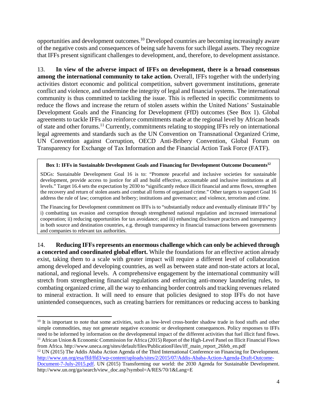opportunities and development outcomes.10 Developed countries are becoming increasingly aware of the negative costs and consequences of being safe havens for such illegal assets. They recognize that IFFs present significant challenges to development, and, therefore, to development assistance.

13. **In view of the adverse impact of IFFs on development, there is a broad consensus among the international community to take action.** Overall, IFFs together with the underlying activities distort economic and political competition, subvert government institutions, generate conflict and violence, and undermine the integrity of legal and financial systems. The international community is thus committed to tackling the issue. This is reflected in specific commitments to reduce the flows and increase the return of stolen assets within the United Nations' Sustainable Development Goals and the Financing for Development (FfD) outcomes (See Box 1). Global agreements to tackle IFFs also reinforce commitments made at the regional level by African heads of state and other forums.11 Currently, commitments relating to stopping IFFs rely on international legal agreements and standards such as the UN Convention on Transnational Organized Crime, UN Convention against Corruption, OECD Anti-Bribery Convention, Global Forum on Transparency for Exchange of Tax Information and the Financial Action Task Force (FATF).

#### **Box 1: IFFs in Sustainable Development Goals and Financing for Development Outcome Documents12**

SDGs: Sustainable Development Goal 16 is to: "Promote peaceful and inclusive societies for sustainable development, provide access to justice for all and build effective, accountable and inclusive institutions at all levels." Target 16.4 sets the expectation by 2030 to "significantly reduce illicit financial and arms flows, strengthen the recovery and return of stolen assets and combat all forms of organized crime." Other targets to support Goal 16 address the rule of law; corruption and bribery; institutions and governance; and violence, terrorism and crime.

The Financing for Development commitment on IFFs is to "substantially reduce and eventually eliminate IFFs" by i) combatting tax evasion and corruption through strengthened national regulation and increased international cooperation; ii) reducing opportunities for tax avoidance; and iii) enhancing disclosure practices and transparency in both source and destination countries, e.g. through transparency in financial transactions between governments and companies to relevant tax authorities.

14. **Reducing IFFs represents an enormous challenge which can only be achieved through a concerted and coordinated global effort.** While the foundations for an effective action already exist, taking them to a scale with greater impact will require a different level of collaboration among developed and developing countries, as well as between state and non-state actors at local, national, and regional levels. A comprehensive engagement by the international community will stretch from strengthening financial regulations and enforcing anti-money laundering rules, to combating organized crime, all the way to enhancing border controls and tracking revenues related to mineral extraction. It will need to ensure that policies designed to stop IFFs do not have unintended consequences, such as creating barriers for remittances or reducing access to banking

l

http://www.un.org/esa/ffd/ffd3/wp-content/uploads/sites/2/2015/07/Addis-Ababa-Action-Agenda-Draft-Outcome-

<sup>&</sup>lt;sup>10</sup> It is important to note that some activities, such as low-level cross-border shadow trade in food stuffs and other simple commodities, may not generate negative economic or development consequences. Policy responses to IFFs need to be informed by information on the developmental impact of the different activities that fuel illicit fund flows. <sup>11</sup> African Union & Economic Commission for Africa (2015) Report of the High-Level Panel on Illicit Financial Flows from Africa. http://www.uneca.org/sites/default/files/PublicationFiles/iff\_main\_report\_26feb\_en.pdf 12 UN (2015) The Addis Ababa Action Agenda of the Third International Conference on Financing for Development.

Document-7-July-2015.pdf. UN (2015) Transforming our world: the 2030 Agenda for Sustainable Development. http://www.un.org/ga/search/view\_doc.asp?symbol=A/RES/70/1&Lang=E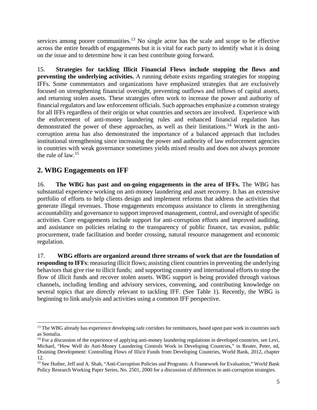services among poorer communities.<sup>13</sup> No single actor has the scale and scope to be effective across the entire breadth of engagements but it is vital for each party to identify what it is doing on the issue and to determine how it can best contribute going forward.

15. **Strategies for tackling Illicit Financial Flows include stopping the flows and preventing the underlying activities.** A running debate exists regarding strategies for stopping IFFs. Some commentators and organizations have emphasized strategies that are exclusively focused on strengthening financial oversight, preventing outflows and inflows of capital assets, and returning stolen assets. These strategies often work to increase the power and authority of financial regulators and law enforcement officials. Such approaches emphasize a common strategy for all IFFs regardless of their origin or what countries and sectors are involved. Experience with the enforcement of anti-money laundering rules and enhanced financial regulation has demonstrated the power of these approaches, as well as their limitations.<sup>14</sup> Work in the anticorruption arena has also demonstrated the importance of a balanced approach that includes institutional strengthening since increasing the power and authority of law enforcement agencies in countries with weak governance sometimes yields mixed results and does not always promote the rule of law.15

# **2. WBG Engagements on IFF**

l

16. **The WBG has past and on-going engagements in the area of IFFs.** The WBG has substantial experience working on anti-money laundering and asset recovery. It has an extensive portfolio of efforts to help clients design and implement reforms that address the activities that generate illegal revenues. Those engagements encompass assistance to clients in strengthening accountability and governance to support improved management, control, and oversight of specific activities. Core engagements include support for anti-corruption efforts and improved auditing, and assistance on policies relating to the transparency of public finance, tax evasion, public procurement, trade facilitation and border crossing, natural resource management and economic regulation.

17. **WBG efforts are organized around three streams of work that are the foundation of responding to IFFs**: measuring illicit flows; assisting client countries in preventing the underlying behaviors that give rise to illicit funds; and supporting country and international efforts to stop the flow of illicit funds and recover stolen assets. WBG support is being provided through various channels, including lending and advisory services, convening, and contributing knowledge on several topics that are directly relevant to tackling IFF. (See Table 1). Recently, the WBG is beginning to link analysis and activities using a common IFF perspective.

<sup>&</sup>lt;sup>13</sup> The WBG already has experience developing safe corridors for remittances, based upon past work in countries such as Somalia.

 $14$  For a discussion of the experience of applying anti-money laundering regulations in developed countries, see Levi, Michael, "How Well do Anti-Money Laundering Controls Work in Developing Countries," in Reuter, Peter, ed, Draining Development: Controlling Flows of Illicit Funds from Developing Countries, World Bank, 2012, chapter 12.

<sup>&</sup>lt;sup>15</sup> See Huther, Jeff and A. Shah, "Anti-Corruption Policies and Programs: A Framework for Evaluation," World Bank Policy Research Working Paper Series, No. 2501, 2000 for a discussion of differences in anti-corruption strategies.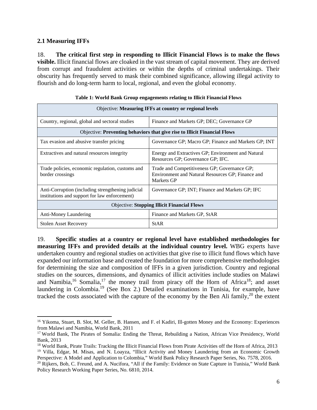## **2.1 Measuring IFFs**

18. **The critical first step in responding to Illicit Financial Flows is to make the flows visible.** Illicit financial flows are cloaked in the vast stream of capital movement. They are derived from corrupt and fraudulent activities or within the depths of criminal undertakings. Their obscurity has frequently served to mask their combined significance, allowing illegal activity to flourish and do long-term harm to local, regional, and even the global economy.

| Objective: Measuring IFFs at country or regional levels                                            |                                                                                                                 |  |  |  |  |  |  |
|----------------------------------------------------------------------------------------------------|-----------------------------------------------------------------------------------------------------------------|--|--|--|--|--|--|
| Country, regional, global and sectoral studies                                                     | Finance and Markets GP; DEC; Governance GP                                                                      |  |  |  |  |  |  |
| Objective: Preventing behaviors that give rise to Illicit Financial Flows                          |                                                                                                                 |  |  |  |  |  |  |
| Tax evasion and abusive transfer pricing                                                           | Governance GP; Macro GP; Finance and Markets GP; INT                                                            |  |  |  |  |  |  |
| Extractives and natural resources integrity                                                        | Energy and Extractives GP; Environment and Natural<br>Resources GP; Governance GP; IFC.                         |  |  |  |  |  |  |
| Trade policies, economic regulation, customs and<br>border crossings                               | Trade and Competitiveness GP; Governance GP;<br>Environment and Natural Resources GP; Finance and<br>Markets GP |  |  |  |  |  |  |
| Anti-Corruption (including strengthening judicial<br>institutions and support for law enforcement) | Governance GP; INT; Finance and Markets GP; IFC                                                                 |  |  |  |  |  |  |
| <b>Objective: Stopping Illicit Financial Flows</b>                                                 |                                                                                                                 |  |  |  |  |  |  |
| Anti-Money Laundering                                                                              | Finance and Markets GP, StAR                                                                                    |  |  |  |  |  |  |
| <b>Stolen Asset Recovery</b>                                                                       | <b>StAR</b>                                                                                                     |  |  |  |  |  |  |

|  |  | Table 1: World Bank Group engagements relating to Illicit Financial Flows |  |  |
|--|--|---------------------------------------------------------------------------|--|--|
|  |  |                                                                           |  |  |

19. **Specific studies at a country or regional level have established methodologies for measuring IFFs and provided details at the individual country level.** WBG experts have undertaken country and regional studies on activities that give rise to illicit fund flows which have expanded our information base and created the foundation for more comprehensive methodologies for determining the size and composition of IFFs in a given jurisdiction. Country and regional studies on the sources, dimensions, and dynamics of illicit activities include studies on Malawi and Namibia,<sup>16</sup> Somalia,<sup>17</sup> the money trail from piracy off the Horn of Africa<sup>18</sup>; and asset laundering in Colombia.<sup>19</sup> (See Box 2.) Detailed examinations in Tunisia, for example, have tracked the costs associated with the capture of the economy by the Ben Ali family,<sup>20</sup> the extent

l <sup>16</sup> Yikoma, Stuart, B. Slot, M. Geller, B. Hansen, and F. el Kadiri, Ill-gotten Money and the Economy: Experiences from Malawi and Namibia, World Bank, 2011

<sup>&</sup>lt;sup>17</sup> World Bank, The Pirates of Somalia: Ending the Threat, Rebuilding a Nation, African Vice Presidency, World Bank, 2013

<sup>18</sup> World Bank, Pirate Trails: Tracking the Illicit Financial Flows from Pirate Activities off the Horn of Africa, 2013 <sup>19</sup> Villa, Edgar, M. Misas, and N. Loayza, "Illicit Activity and Money Laundering from an Economic Growth Perspective: A Model and Application to Colombia," World Bank Policy Research Paper Series, No. 7578, 2016.

 $20$  Rijkers, Bob, C. Freund, and A. Nucifora, "All if the Family: Evidence on State Capture in Tunisia," World Bank Policy Research Working Paper Series, No. 6810, 2014.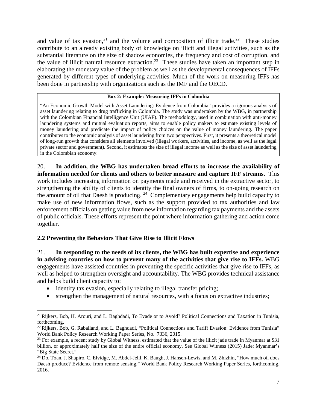and value of tax evasion,<sup>21</sup> and the volume and composition of illicit trade.<sup>22</sup> These studies contribute to an already existing body of knowledge on illicit and illegal activities, such as the substantial literature on the size of shadow economies, the frequency and cost of corruption, and the value of illicit natural resource extraction.<sup>23</sup> These studies have taken an important step in elaborating the monetary value of the problem as well as the developmental consequences of IFFs generated by different types of underlying activities. Much of the work on measuring IFFs has been done in partnership with organizations such as the IMF and the OECD.

#### **Box 2: Example: Measuring IFFs in Colombia**

"An Economic Growth Model with Asset Laundering: Evidence from Colombia" provides a rigorous analysis of asset laundering relating to drug trafficking in Colombia. The study was undertaken by the WBG, in partnership with the Colombian Financial Intelligence Unit (UIAF). The methodology, used in combination with anti-money laundering systems and mutual evaluation reports, aims to enable policy makers to estimate existing levels of money laundering and predicate the impact of policy choices on the value of money laundering. The paper contributes to the economic analysis of asset laundering from two perspectives. First, it presents a theoretical model of long-run growth that considers all elements involved (illegal workers, activities, and income, as well as the legal private sector and government). Second, it estimates the size of illegal income as well as the size of asset laundering in the Colombian economy.

20. **In addition, the WBG has undertaken broad efforts to increase the availability of information needed for clients and others to better measure and capture IFF streams.** This work includes increasing information on payments made and received in the extractive sector, to strengthening the ability of clients to identity the final owners of firms, to on-going research on the amount of oil that Daesh is producing.  $24$  Complementary engagements help build capacity to make use of new information flows, such as the support provided to tax authorities and law enforcement officials on getting value from new information regarding tax payments and the assets of public officials. These efforts represent the point where information gathering and action come together.

## **2.2 Preventing the Behaviors That Give Rise to Illicit Flows**

21. **In responding to the needs of its clients, the WBG has built expertise and experience in advising countries on how to prevent many of the activities that give rise to IFFs.** WBG engagements have assisted countries in preventing the specific activities that give rise to IFFs, as well as helped to strengthen oversight and accountability. The WBG provides technical assistance and helps build client capacity to:

- identify tax evasion, especially relating to illegal transfer pricing;
- strengthen the management of natural resources, with a focus on extractive industries;

l <sup>21</sup> Rijkers, Bob, H. Arouri, and L. Baghdadi, To Evade or to Avoid? Political Connections and Taxation in Tunisia, forthcoming.

<sup>&</sup>lt;sup>22</sup> Rijkers, Bob, G. Raballand, and L. Baghdadi, "Political Connections and Tariff Evasion: Evidence from Tunisia" World Bank Policy Research Working Paper Series, No. 7336, 2015.

 $23$  For example, a recent study by Global Witness, estimated that the value of the illicit jade trade in Myanmar at \$31 billion, or approximately half the size of the entire official economy. See Global Witness (2015) Jade: Myanmar's "Big State Secret."

 $24$  Do, Toan, J. Shapiro, C. Elvidge, M. Abdel-Jelil, K. Baugh, J. Hansen-Lewis, and M. Zhizhin, "How much oil does Daesh produce? Evidence from remote sensing," World Bank Policy Research Working Paper Series, forthcoming, 2016.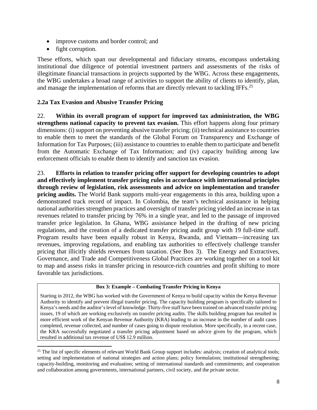- improve customs and border control; and
- fight corruption.

l

These efforts, which span our developmental and fiduciary streams, encompass undertaking institutional due diligence of potential investment partners and assessments of the risks of illegitimate financial transactions in projects supported by the WBG. Across these engagements, the WBG undertakes a broad range of activities to support the ability of clients to identify, plan, and manage the implementation of reforms that are directly relevant to tackling IFFs.<sup>25</sup>

## **2.2a Tax Evasion and Abusive Transfer Pricing**

22. **Within its overall program of support for improved tax administration, the WBG strengthens national capacity to prevent tax evasion.** This effort happens along four primary dimensions: (i) support on preventing abusive transfer pricing; (ii) technical assistance to countries to enable them to meet the standards of the Global Forum on Transparency and Exchange of Information for Tax Purposes; (iii) assistance to countries to enable them to participate and benefit from the Automatic Exchange of Tax Information; and (iv) capacity building among law enforcement officials to enable them to identify and sanction tax evasion.

23. **Efforts in relation to transfer pricing offer support for developing countries to adopt and effectively implement transfer pricing rules in accordance with international principles through review of legislation, risk assessments and advice on implementation and transfer pricing audits.** The World Bank supports multi-year engagements in this area, building upon a demonstrated track record of impact. In Colombia, the team's technical assistance in helping national authorities strengthen practices and oversight of transfer pricing yielded an increase in tax revenues related to transfer pricing by 76% in a single year, and led to the passage of improved transfer price legislation. In Ghana, WBG assistance helped in the drafting of new pricing regulations, and the creation of a dedicated transfer pricing audit group with 19 full-time staff. Program results have been equally robust in Kenya, Rwanda, and Vietnam—increasing tax revenues, improving regulations, and enabling tax authorities to effectively challenge transfer pricing that illicitly shields revenues from taxation. (See Box 3). The Energy and Extractives, Governance, and Trade and Competitiveness Global Practices are working together on a tool kit to map and assess risks in transfer pricing in resource-rich countries and profit shifting to more favorable tax jurisdictions.

#### **Box 3: Example – Combating Transfer Pricing in Kenya**

Starting in 2012, the WBG has worked with the Government of Kenya to build capacity within the Kenya Revenue Authority to identify and prevent illegal transfer pricing. The capacity building program is specifically tailored to Kenya's needs and the auditor's level of knowledge. Thirty-five staff have been trained on advanced transfer pricing issues, 19 of which are working exclusively on transfer pricing audits. The skills building program has resulted in more efficient work of the Kenyan Revenue Authority (KRA) leading to an increase in the number of audit cases completed, revenue collected, and number of cases going to dispute resolution. More specifically, in a recent case, the KRA successfully negotiated a transfer pricing adjustment based on advice given by the program, which resulted in additional tax revenue of US\$ 12.9 million.

<sup>&</sup>lt;sup>25</sup> The list of specific elements of relevant World Bank Group support includes: analysis; creation of analytical tools; setting and implementation of national strategies and action plans; policy formulation; institutional strengthening; capacity-building, monitoring and evaluation; setting of international standards and commitments; and cooperation and collaboration among governments, international partners, civil society, and the private sector.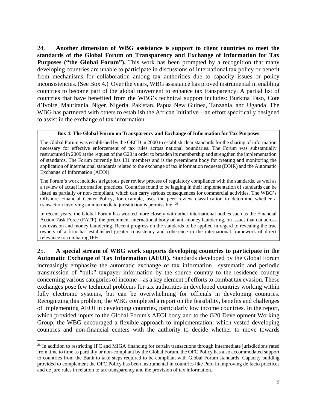24. **Another dimension of WBG assistance is support to client countries to meet the standards of the Global Forum on Transparency and Exchange of Information for Tax Purposes ("the Global Forum").** This work has been prompted by a recognition that many developing countries are unable to participate in discussions of international tax policy or benefit from mechanisms for collaboration among tax authorities due to capacity issues or policy inconsistencies. (See Box 4.) Over the years, WBG assistance has proved instrumental in enabling countries to become part of the global movement to enhance tax transparency. A partial list of countries that have benefited from the WBG's technical support includes: Burkina Faso, Cote d'Ivoire, Mauritania, Niger, Nigeria, Pakistan, Papua New Guinea, Tanzania, and Uganda. The WBG has partnered with others to establish the African Initiative—an effort specifically designed to assist in the exchange of tax information.

#### **Box 4: The Global Forum on Transparency and Exchange of Information for Tax Purposes**

The Global Forum was established by the OECD in 2000 to establish clear standards for the sharing of information necessary for effective enforcement of tax rules across national boundaries. The Forum was substantially restructured in 2009 at the request of the G20 in order to broaden its membership and strengthen the implementation of standards. The Forum currently has 131 members and is the preeminent body for creating and monitoring the application of international standards related to the exchange of tax information requests (EOIR) and the Automatic Exchange of Information (AEOI).

The Forum's work includes a rigorous peer review process of regulatory compliance with the standards, as well as a review of actual information practices. Countries found to be lagging in their implementation of standards can be listed as partially or non-compliant, which can carry serious consequences for commercial activities. The WBG's Offshore Financial Center Policy, for example, uses the peer review classification to determine whether a transaction involving an intermediate jurisdiction is permissible. 26

In recent years, the Global Forum has worked more closely with other international bodies such as the Financial Action Task Force (FATF), the preeminent international body on anti-money laundering, on issues that cut across tax evasion and money laundering. Recent progress on the standards to be applied in regard to revealing the true owners of a firm has established greater consistency and coherence in the international framework of direct relevance to combating IFFs.

25. **A special stream of WBG work supports developing countries to participate in the Automatic Exchange of Tax Information (AEOI).** Standards developed by the Global Forum increasingly emphasize the automatic exchange of tax information—systematic and periodic transmission of "bulk" taxpayer information by the source country to the residence country concerning various categories of income—as a key element of efforts to combat tax evasion. These exchanges pose few technical problems for tax authorities in developed countries working within fully electronic systems, but can be overwhelming for officials in developing countries. Recognizing this problem, the WBG completed a report on the feasibility, benefits and challenges of implementing AEOI in developing countries, particularly low income countries. In the report, which provided inputs to the Global Forum's AEOI body and to the G20 Development Working Group, the WBG encouraged a flexible approach to implementation, which vested developing countries and non-financial centers with the authority to decide whether to move towards

<sup>&</sup>lt;sup>26</sup> In addition to restricting IFC and MIGA financing for certain transactions through intermediate jurisdictions rated from time to time as partially or non-compliant by the Global Forum, the OFC Policy has also accommodated support to countries from the Bank to take steps required to be compliant with Global Forum standards. Capacity building provided to complement the OFC Policy has been instrumental in countries like Peru in improving de facto practices and de jure rules in relation to tax transparency and the provision of tax information.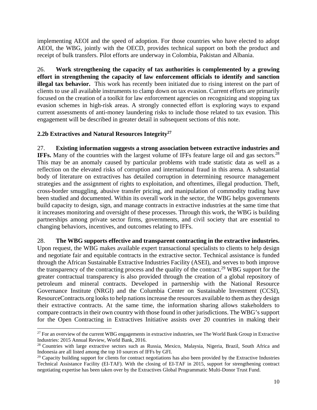implementing AEOI and the speed of adoption. For those countries who have elected to adopt AEOI, the WBG, jointly with the OECD, provides technical support on both the product and receipt of bulk transfers. Pilot efforts are underway in Colombia, Pakistan and Albania.

26. **Work strengthening the capacity of tax authorities is complemented by a growing effort in strengthening the capacity of law enforcement officials to identify and sanction illegal tax behavior.** This work has recently been initiated due to rising interest on the part of clients to use all available instruments to clamp down on tax evasion. Current efforts are primarily focused on the creation of a toolkit for law enforcement agencies on recognizing and stopping tax evasion schemes in high-risk areas. A strongly connected effort is exploring ways to expand current assessments of anti-money laundering risks to include those related to tax evasion. This engagement will be described in greater detail in subsequent sections of this note.

## **2.2b Extractives and Natural Resources Integrity27**

27. **Existing information suggests a strong association between extractive industries and IFFs.** Many of the countries with the largest volume of IFFs feature large oil and gas sectors.<sup>28</sup> This may be an anomaly caused by particular problems with trade statistic data as well as a reflection on the elevated risks of corruption and international fraud in this arena. A substantial body of literature on extractives has detailed corruption in determining resource management strategies and the assignment of rights to exploitation, and oftentimes, illegal production. Theft, cross-border smuggling, abusive transfer pricing, and manipulation of commodity trading have been studied and documented. Within its overall work in the sector, the WBG helps governments build capacity to design, sign, and manage contracts in extractive industries at the same time that it increases monitoring and oversight of these processes. Through this work, the WBG is building partnerships among private sector firms, governments, and civil society that are essential to changing behaviors, incentives, and outcomes relating to IFFs.

28. **The WBG supports effective and transparent contracting in the extractive industries.** Upon request, the WBG makes available expert transactional specialists to clients to help design and negotiate fair and equitable contracts in the extractive sector. Technical assistance is funded through the African Sustainable Extractive Industries Facility (ASEI), and serves to both improve the transparency of the contracting process and the quality of the contract.29 WBG support for the greater contractual transparency is also provided through the creation of a global repository of petroleum and mineral contracts. Developed in partnership with the National Resource Governance Institute (NRGI) and the Columbia Center on Sustainable Investment (CCSI), ResourceContracts.org looks to help nations increase the resources available to them as they design their extractive contracts. At the same time, the information sharing allows stakeholders to compare contracts in their own country with those found in other jurisdictions. The WBG's support for the Open Contracting in Extractives Initiative assists over 20 countries in making their

l  $27$  For an overview of the current WBG engagements in extractive industries, see The World Bank Group in Extractive Industries: 2015 Annual Review, World Bank, 2016.

<sup>28</sup> Countries with large extractive sectors such as Russia, Mexico, Malaysia, Nigeria, Brazil, South Africa and Indonesia are all listed among the top 10 sources of IFFs by GFI.

 $29$  Capacity building support for clients for contract negotiations has also been provided by the Extractive Industries Technical Assistance Facility (EI-TAF). With the closing of EI-TAF in 2015, support for strengthening contract negotiating expertise has been taken over by the Extractives Global Programmatic Multi-Donor Trust Fund.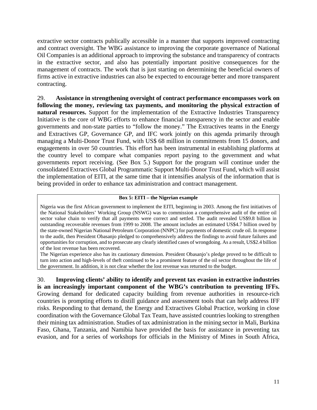extractive sector contracts publically accessible in a manner that supports improved contracting and contract oversight. The WBG assistance to improving the corporate governance of National Oil Companies is an additional approach to improving the substance and transparency of contracts in the extractive sector, and also has potentially important positive consequences for the management of contracts. The work that is just starting on determining the beneficial owners of firms active in extractive industries can also be expected to encourage better and more transparent contracting.

29. **Assistance in strengthening oversight of contract performance encompasses work on following the money, reviewing tax payments, and monitoring the physical extraction of natural resources.** Support for the implementation of the Extractive Industries Transparency Initiative is the core of WBG efforts to enhance financial transparency in the sector and enable governments and non-state parties to "follow the money." The Extractives teams in the Energy and Extractives GP, Governance GP, and IFC work jointly on this agenda primarily through managing a Multi-Donor Trust Fund, with US\$ 68 million in commitments from 15 donors, and engagements in over 50 countries. This effort has been instrumental in establishing platforms at the country level to compare what companies report paying to the government and what governments report receiving. (See Box 5.) Support for the program will continue under the consolidated Extractives Global Programmatic Support Multi-Donor Trust Fund, which will assist the implementation of EITI, at the same time that it intensifies analysis of the information that is being provided in order to enhance tax administration and contract management.

#### **Box 5: EITI – the Nigerian example**

Nigeria was the first African government to implement the EITI, beginning in 2003. Among the first initiatives of the National Stakeholders' Working Group (NSWG) was to commission a comprehensive audit of the entire oil sector value chain to verify that all payments were correct and settled. The audit revealed US\$9.8 billion in outstanding recoverable revenues from 1999 to 2008. The amount includes an estimated US\$4.7 billion owed by the state-owned Nigerian National Petroleum Corporation (NNPC) for payments of domestic crude oil. In response to the audit, then President Obasanjo pledged to comprehensively address the findings to avoid future failures and opportunities for corruption, and to prosecute any clearly identified cases of wrongdoing. As a result, US\$2.4 billion of the lost revenue has been recovered.

The Nigerian experience also has its cautionary dimension. President Obasanjo's pledge proved to be difficult to turn into action and high-levels of theft continued to be a prominent feature of the oil sector throughout the life of the government. In addition, it is not clear whether the lost revenue was returned to the budget.

30. **Improving clients' ability to identify and prevent tax evasion in extractive industries is an increasingly important component of the WBG's contribution to preventing IFFs.** Growing demand for dedicated capacity building from revenue authorities in resource-rich countries is prompting efforts to distill guidance and assessment tools that can help address IFF risks. Responding to that demand, the Energy and Extractives Global Practice, working in close coordination with the Governance Global Tax Team, have assisted countries looking to strengthen their mining tax administration. Studies of tax administration in the mining sector in Mali, Burkina Faso, Ghana, Tanzania, and Namibia have provided the basis for assistance in preventing tax evasion, and for a series of workshops for officials in the Ministry of Mines in South Africa,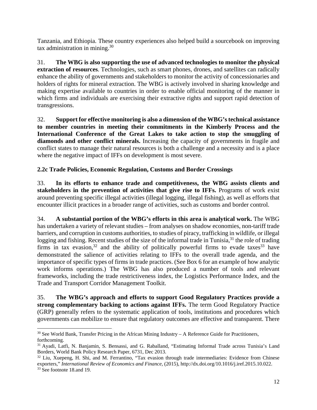Tanzania, and Ethiopia. These country experiences also helped build a sourcebook on improving tax administration in mining. $30$ 

31. **The WBG is also supporting the use of advanced technologies to monitor the physical extraction of resources**. Technologies, such as smart phones, drones, and satellites can radically enhance the ability of governments and stakeholders to monitor the activity of concessionaries and holders of rights for mineral extraction. The WBG is actively involved in sharing knowledge and making expertise available to countries in order to enable official monitoring of the manner in which firms and individuals are exercising their extractive rights and support rapid detection of transgressions.

32. **Support for effective monitoring is also a dimension of the WBG's technical assistance to member countries in meeting their commitments in the Kimberly Process and the International Conference of the Great Lakes to take action to stop the smuggling of diamonds and other conflict minerals.** Increasing the capacity of governments in fragile and conflict states to manage their natural resources is both a challenge and a necessity and is a place where the negative impact of IFFs on development is most severe.

## **2.2c Trade Policies, Economic Regulation, Customs and Border Crossings**

33. **In its efforts to enhance trade and competitiveness, the WBG assists clients and stakeholders in the prevention of activities that give rise to IFFs.** Programs of work exist around preventing specific illegal activities (illegal logging, illegal fishing), as well as efforts that encounter illicit practices in a broader range of activities, such as customs and border control.

34. **A substantial portion of the WBG's efforts in this area is analytical work.** The WBG has undertaken a variety of relevant studies – from analyses on shadow economies, non-tariff trade barriers, and corruption in customs authorities, to studies of piracy, trafficking in wildlife, or illegal logging and fishing. Recent studies of the size of the informal trade in Tunisia,<sup>31</sup> the role of trading firms in tax evasion,<sup>32</sup> and the ability of politically powerful firms to evade taxes<sup>33</sup> have demonstrated the salience of activities relating to IFFs to the overall trade agenda, and the importance of specific types of firms in trade practices. (See Box 6 for an example of how analytic work informs operations.) The WBG has also produced a number of tools and relevant frameworks, including the trade restrictiveness index, the Logistics Performance Index, and the Trade and Transport Corridor Management Toolkit.

35. **The WBG's approach and efforts to support Good Regulatory Practices provide a strong complementary backing to actions against IFFs.** The term Good Regulatory Practice (GRP) generally refers to the systematic application of tools, institutions and procedures which governments can mobilize to ensure that regulatory outcomes are effective and transparent. There

 $30$  See World Bank, Transfer Pricing in the African Mining Industry  $-A$  Reference Guide for Practitioners, forthcoming.

<sup>31</sup> Ayadi, Latfi, N. Banjamin, S. Bensassi, and G. Raballand, "Estimating Informal Trade across Tunisia's Land Borders, World Bank Policy Research Paper, 6731, Dec 2013.

<sup>&</sup>lt;sup>32</sup> Liu, Xuepeng, H. Shi, and M. Ferrantino, "Tax evasion through trade intermediaries: Evidence from Chinese exporters," *International Review of Economics and Finance*, (2015), http://dx.doi.org/10.1016/j.iref.2015.10.022.<br><sup>33</sup> See footnote 18.and 19.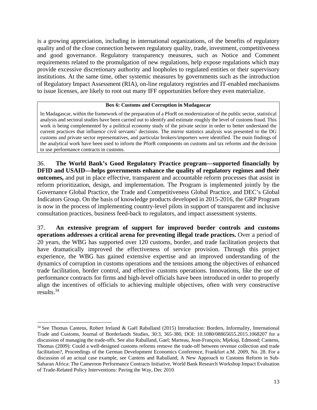is a growing appreciation, including in international organizations, of the benefits of regulatory quality and of the close connection between regulatory quality, trade, investment, competitiveness and good governance. Regulatory transparency measures, such as Notice and Comment requirements related to the promulgation of new regulations, help expose regulations which may provide excessive discretionary authority and loopholes to regulated entities or their supervisory institutions. At the same time, other systemic measures by governments such as the introduction of Regulatory Impact Assessment (RIA), on-line regulatory registries and IT-enabled mechanisms to issue licenses, are likely to root out many IFF opportunities before they even materialize.

#### **Box 6: Customs and Corruption in Madagascar**

In Madagascar, within the framework of the preparation of a PforR on modernization of the public sector, statistical analysis and sectoral studies have been carried out to identify and estimate roughly the level of customs fraud. This work is being complemented by a political economy study of the private sector in order to better understand the current practices that influence civil servants' decisions. The mirror statistics analysis was presented to the DG customs and private sector representatives, and particular brokers/importers were identified. The main findings of the analytical work have been used to inform the PforR components on customs and tax reforms and the decision to use performance contracts in customs.

36. **The World Bank's Good Regulatory Practice program—supported financially by DFID and USAID—helps governments enhance the quality of regulatory regimes and their outcomes,** and put in place effective, transparent and accountable reform processes that assist in reform prioritization, design, and implementation. The Program is implemented jointly by the Governance Global Practice, the Trade and Competitiveness Global Practice, and DEC's Global Indicators Group. On the basis of knowledge products developed in 2015-2016, the GRP Program is now in the process of implementing country-level pilots in support of transparent and inclusive consultation practices, business feed-back to regulators, and impact assessment systems.

37. **An extensive program of support for improved border controls and customs operations addresses a critical arena for preventing illegal trade practices.** Over a period of 20 years, the WBG has supported over 120 customs, border, and trade facilitation projects that have dramatically improved the effectiveness of service provision. Through this project experience, the WBG has gained extensive expertise and an improved understanding of the dynamics of corruption in customs operations and the tensions among the objectives of enhanced trade facilitation, border control, and effective customs operations. Innovations, like the use of performance contracts for firms and high-level officials have been introduced in order to properly align the incentives of officials to achieving multiple objectives, often with very constructive results.34

<sup>34</sup> See Thomas Cantens, Robert Ireland & Gaël Raballand (2015) Introduction: Borders, Informality, International Trade and Customs, Journal of Borderlands Studies, 30:3, 365-380, DOI: 10.1080/08865655.2015.1068207 for a discussion of managing the trade-offs. See also Raballand, Gael; Marteau, Jean-François; Mjekiqi, Edmond; Cantens, Thomas (2009): Could a well-designed customs reforms remove the trade-off between revenue collection and trade facilitation?, Proceedings of the German Development Economics Conference, Frankfurt a.M. 2009, No. 28. For a discussion of an actual case example, see Cantens and Raballand, A New Approach to Customs Reform in Sub-Saharan Africa: The Cameroon Performance Contracts Initiative, World Bank Research Workshop Impact Evaluation of Trade-Related Policy Interventions: Paving the Way, Dec 2010.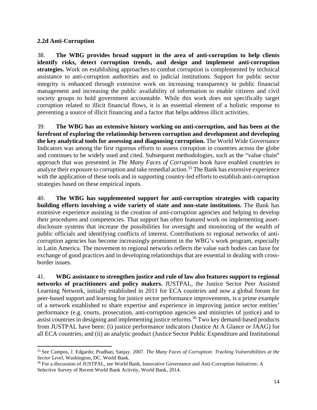## **2.2d Anti-Corruption**

l

38. **The WBG provides broad support in the area of anti-corruption to help clients identify risks, detect corruption trends, and design and implement anti-corruption strategies.** Work on establishing approaches to combat corruption is complemented by technical assistance to anti-corruption authorities and to judicial institutions. Support for public sector integrity is enhanced through extensive work on increasing transparency in public financial management and increasing the public availability of information to enable citizens and civil society groups to hold government accountable. While this work does not specifically target corruption related to illicit financial flows, it is an essential element of a holistic response to preventing a source of illicit financing and a factor that helps address illicit activities.

39. **The WBG has an extensive history working on anti-corruption, and has been at the forefront of exploring the relationship between corruption and development and developing the key analytical tools for assessing and diagnosing corruption.** The World Wide Governance Indicators was among the first rigorous efforts to assess corruption in countries across the globe and continues to be widely used and cited. Subsequent methodologies, such as the "value chain" approach that was presented in *The Many Faces of Corruption* book have enabled countries to analyze their exposure to corruption and take remedial action.<sup>35</sup> The Bank has extensive experience with the application of these tools and in supporting country-led efforts to establish anti-corruption strategies based on these empirical inputs.

40. **The WBG has supplemented support for anti-corruption strategies with capacity building efforts involving a wide variety of state and non-state institutions.** The Bank has extensive experience assisting in the creation of anti-corruption agencies and helping to develop their procedures and competencies. That support has often featured work on implementing assetdisclosure systems that increase the possibilities for oversight and monitoring of the wealth of public officials and identifying conflicts of interest. Contributions to regional networks of anticorruption agencies has become increasingly prominent in the WBG's work program, especially in Latin America. The movement to regional networks reflects the value such bodies can have for exchange of good practices and in developing relationships that are essential in dealing with crossborder issues.

41. **WBG assistance to strengthen justice and rule of law also features support to regional networks of practitioners and policy makers.** JUSTPAL, the Justice Sector Peer Assisted Learning Network, initially established in 2011 for ECA countries and now a global forum for peer-based support and learning for justice sector performance improvements, is a prime example of a network established to share expertise and experience in improving justice sector entities' performance (e.g. courts, prosecution, anti-corruption agencies and ministries of justice) and to assist countries in designing and implementing justice reforms.<sup>36</sup> Two key demand-based products from JUSTPAL have been: (i) justice performance indicators (Justice At A Glance or JAAG) for all ECA countries; and (ii) an analytic product (Justice Sector Public Expenditure and Institutional

<sup>35</sup> See Campos, J. Edgardo; Pradhan, Sanjay. 2007. *The Many Faces of Corruption: Tracking Vulnerabilities at the* 

<sup>&</sup>lt;sup>36</sup> For a discussion of JUSTPAL, see World Bank, Innovative Governance and Anti-Corruption Initiatives: A Selective Survey of Recent World Bank Activity, World Bank, 2014.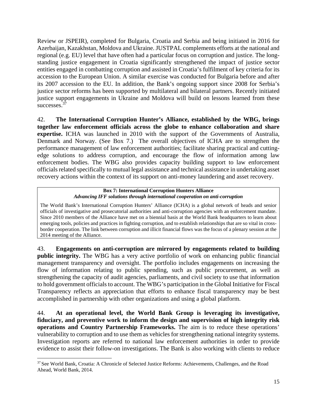Review or JSPEIR), completed for Bulgaria, Croatia and Serbia and being initiated in 2016 for Azerbaijan, Kazakhstan, Moldova and Ukraine. JUSTPAL complements efforts at the national and regional (e.g. EU) level that have often had a particular focus on corruption and justice. The longstanding justice engagement in Croatia significantly strengthened the impact of justice sector entities engaged in combatting corruption and assisted in Croatia's fulfilment of key criteria for its accession to the European Union. A similar exercise was conducted for Bulgaria before and after its 2007 accession to the EU. In addition, the Bank's ongoing support since 2008 for Serbia's justice sector reforms has been supported by multilateral and bilateral partners. Recently initiated justice support engagements in Ukraine and Moldova will build on lessons learned from these successes.<sup>37</sup>

42. **The International Corruption Hunter's Alliance, established by the WBG, brings together law enforcement officials across the globe to enhance collaboration and share expertise.** ICHA was launched in 2010 with the support of the Governments of Australia, Denmark and Norway. (See Box 7.) The overall objectives of ICHA are to strengthen the performance management of law enforcement authorities; facilitate sharing practical and cuttingedge solutions to address corruption, and encourage the flow of information among law enforcement bodies. The WBG also provides capacity building support to law enforcement officials related specifically to mutual legal assistance and technical assistance in undertaking asset recovery actions within the context of its support on anti-money laundering and asset recovery.

#### **Box 7: International Corruption Hunters Alliance**  *Advancing IFF solutions through international cooperation on anti-corruption*

The World Bank's International Corruption Hunters' Alliance (ICHA) is a global network of heads and senior officials of investigative and prosecutorial authorities and anti-corruption agencies with an enforcement mandate. Since 2010 members of the Alliance have met on a biennial basis at the World Bank headquarters to learn about emerging tools, policies and practices in fighting corruption, and to establish relationships that are so vital in crossborder cooperation. The link between corruption and illicit financial flows was the focus of a plenary session at the 2014 meeting of the Alliance.

43. **Engagements on anti-corruption are mirrored by engagements related to building public integrity.** The WBG has a very active portfolio of work on enhancing public financial management transparency and oversight. The portfolio includes engagements on increasing the flow of information relating to public spending, such as public procurement, as well as strengthening the capacity of audit agencies, parliaments, and civil society to use that information to hold government officials to account. The WBG's participation in the Global Initiative for Fiscal Transparency reflects an appreciation that efforts to enhance fiscal transparency may be best accomplished in partnership with other organizations and using a global platform.

44. **At an operational level, the World Bank Group is leveraging its investigative, fiduciary, and preventive work to inform the design and supervision of high integrity risk operations and Country Partnership Frameworks.** The aim is to reduce these operations' vulnerability to corruption and to use them as vehicles for strengthening national integrity systems. Investigation reports are referred to national law enforcement authorities in order to provide evidence to assist their follow-on investigations. The Bank is also working with clients to reduce

<sup>37</sup> See World Bank, Croatia: A Chronicle of Selected Justice Reforms: Achievements, Challenges, and the Road Ahead, World Bank, 2014.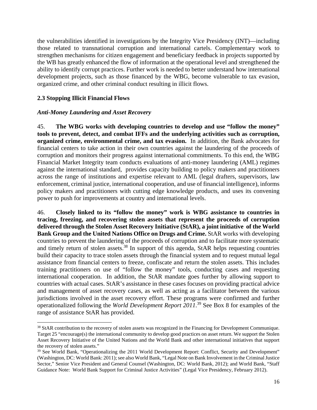the vulnerabilities identified in investigations by the Integrity Vice Presidency (INT)—including those related to transnational corruption and international cartels. Complementary work to strengthen mechanisms for citizen engagement and beneficiary feedback in projects supported by the WB has greatly enhanced the flow of information at the operational level and strengthened the ability to identify corrupt practices. Further work is needed to better understand how international development projects, such as those financed by the WBG, become vulnerable to tax evasion, organized crime, and other criminal conduct resulting in illicit flows.

## **2.3 Stopping Illicit Financial Flows**

l

## *Anti-Money Laundering and Asset Recovery*

45. **The WBG works with developing countries to develop and use "follow the money" tools to prevent, detect, and combat IFFs and the underlying activities such as corruption, organized crime, environmental crime, and tax evasion.** In addition, the Bank advocates for financial centers to take action in their own countries against the laundering of the proceeds of corruption and monitors their progress against international commitments. To this end, the WBG Financial Market Integrity team conducts evaluations of anti-money laundering (AML) regimes against the international standard, provides capacity building to policy makers and practitioners across the range of institutions and expertise relevant to AML (legal drafters, supervisors, law enforcement, criminal justice, international cooperation, and use of financial intelligence), informs policy makers and practitioners with cutting edge knowledge products, and uses its convening power to push for improvements at country and international levels.

46. **Closely linked to its "follow the money" work is WBG assistance to countries in tracing, freezing, and recovering stolen assets that represent the proceeds of corruption delivered through the Stolen Asset Recovery Initiative (StAR), a joint initiative of the World Bank Group and the United Nations Office on Drugs and Crime.** StAR works with developing countries to prevent the laundering of the proceeds of corruption and to facilitate more systematic and timely return of stolen assets.<sup>38</sup> In support of this agenda, StAR helps requesting countries build their capacity to trace stolen assets through the financial system and to request mutual legal assistance from financial centers to freeze, confiscate and return the stolen assets. This includes training practitioners on use of "follow the money" tools, conducting cases and requesting international cooperation. In addition, the StAR mandate goes further by allowing support to countries with actual cases. StAR's assistance in these cases focuses on providing practical advice and management of asset recovery cases, as well as acting as a facilitator between the various jurisdictions involved in the asset recovery effort. These programs were confirmed and further operationalized following the *World Development Report 2011*. 39 See Box 8 for examples of the range of assistance StAR has provided.

<sup>&</sup>lt;sup>38</sup> StAR contribution to the recovery of stolen assets was recognized in the Financing for Development Communique. Target 25 "encourage(s) the international community to develop good practices on asset return. We support the Stolen Asset Recovery Initiative of the United Nations and the World Bank and other international initiatives that support the recovery of stolen assets."

<sup>&</sup>lt;sup>39</sup> See World Bank, "Operationalizing the 2011 World Development Report: Conflict, Security and Development" (Washington, DC: World Bank: 2011); see also World Bank, "Legal Note on Bank Involvement in the Criminal Justice Sector," Senior Vice President and General Counsel (Washington, DC: World Bank, 2012); and World Bank, "Staff Guidance Note: World Bank Support for Criminal Justice Activities" (Legal Vice Presidency, February 2012).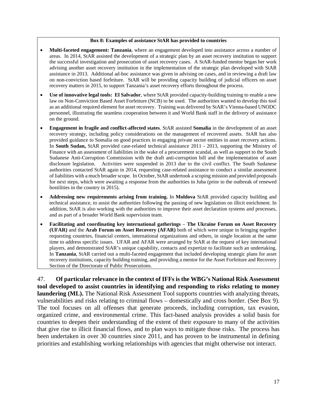#### **Box 8: Examples of assistance StAR has provided to countries**

- **Multi-faceted engagement: Tanzania**, where an engagement developed into assistance across a number of areas. In 2014, StAR assisted the development of a strategic plan by an asset recovery institution to support the successful investigation and prosecution of asset recovery cases. A StAR-funded mentor began her work advising another asset recovery institution in the implementation of the strategic plan developed with StAR assistance in 2013. Additional ad-hoc assistance was given in advising on cases, and in reviewing a draft law on non-conviction based forfeiture. StAR will be providing capacity building of judicial officers on asset recovery matters in 2015, to support Tanzania's asset recovery efforts throughout the process.
- **Use of innovative legal tools: El Salvador**, where StAR provided capacity-building training to enable a new law on Non-Conviction Based Asset Forfeiture (NCB) to be used. The authorities wanted to develop this tool as an additional required element for asset recovery. Training was delivered by StAR's Vienna-based UNODC personnel, illustrating the seamless cooperation between it and World Bank staff in the delivery of assistance on the ground.
- **Engagement in fragile and conflict-affected states**. StAR assisted **Somalia** in the development of an asset recovery strategy, including policy considerations on the management of recovered assets. StAR has also provided guidance to Somalia on good practices in engaging private sector entities in asset recovery actions. In **South Sudan,** StAR provided case-related technical assistance 2011 - 2013, supporting the Ministry of Finance with an assessment of liabilities in the wake of a procurement scandal, as well as support to the South Sudanese Anti-Corruption Commission with the draft anti-corruption bill and the implementation of asset disclosure legislation. Activities were suspended in 2013 due to the civil conflict. The South Sudanese authorities contacted StAR again in 2014, requesting case-related assistance to conduct a similar assessment of liabilities with a much broader scope. In October, StAR undertook a scoping mission and provided proposals for next steps, which were awaiting a response from the authorities in Juba (prior to the outbreak of renewed hostilities in the country in 2015).
- **Addressing new requirements arising from training.** In **Moldova** StAR provided capacity building and technical assistance, to assist the authorities following the passing of new legislation on illicit enrichment. In addition, StAR is also working with the authorities to improve their asset declaration systems and processes, and as part of a broader World Bank supervision team.
- **Facilitating and coordinating key international gatherings The Ukraine Forum on Asset Recovery (UFAR)** and the **Arab Forum on Asset Recovery (AFAR)** both of which were unique in bringing together requesting countries, financial centers, international organizations and others, in single location at the same time to address specific issues. UFAR and AFAR were arranged by StAR at the request of key international players, and demonstrated StAR's unique capability, contacts and expertize to facilitate such an undertaking. In **Tanzania**, StAR carried out a multi-faceted engagement that included developing strategic plans for asset recovery institutions, capacity building training, and providing a mentor for the Asset Forfeiture and Recovery Section of the Directorate of Public Prosecutions.

47. **Of particular relevance in the context of IFFs is the WBG's National Risk Assessment tool developed to assist countries in identifying and responding to risks relating to money laundering (ML).** The National Risk Assessment Tool supports countries with analyzing threats, vulnerabilities and risks relating to criminal flows – domestically and cross border. (See Box 9). The tool focuses on all offenses that generate proceeds, including corruption, tax evasion, organized crime, and environmental crime. This fact-based analysis provides a solid basis for countries to deepen their understanding of the extent of their exposure to many of the activities that give rise to illicit financial flows, and to plan ways to mitigate those risks. The process has been undertaken in over 30 countries since 2011, and has proven to be instrumental in defining priorities and establishing working relationships with agencies that might otherwise not interact.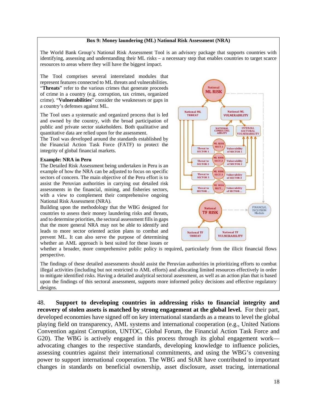#### **Box 9: Money laundering (ML) National Risk Assessment (NRA)**

The World Bank Group's National Risk Assessment Tool is an advisory package that supports countries with identifying, assessing and understanding their ML risks – a necessary step that enables countries to target scarce resources to areas where they will have the biggest impact.

The Tool comprises several interrelated modules that represent features connected to ML threats and vulnerabilities. "**Threats**" refer to the various crimes that generate proceeds of crime in a country (e.g. corruption, tax crimes, organized crime). "**Vulnerabilities**" consider the weaknesses or gaps in a country's defenses against ML.

The Tool uses a systematic and organized process that is led and owned by the country, with the broad participation of public and private sector stakeholders. Both qualitative and quantitative data are relied upon for the assessment.

The Tool was developed around the standards established by the Financial Action Task Force (FATF) to protect the integrity of global financial markets.

#### **Example: NRA in Peru**

The Detailed Risk Assessment being undertaken in Peru is an example of how the NRA can be adjusted to focus on specific sectors of concern. The main objective of the Peru effort is to assist the Peruvian authorities in carrying out detailed risk assessments in the financial, mining, and fisheries sectors, with a view to complement their comprehensive ongoing National Risk Assessment (NRA).

Building upon the methodology that the WBG designed for countries to assess their money laundering risks and threats, and to determine priorities, the sectoral assessment fills in gaps that the more general NRA may not be able to identify and leads to more sector oriented action plans to combat and prevent ML. It can also serve the purpose of determining whether an AML approach is best suited for these issues or



whether a broader, more comprehensive public policy is required, particularly from the illicit financial flows perspective.

The findings of these detailed assessments should assist the Peruvian authorities in prioritizing efforts to combat illegal activities (including but not restricted to AML efforts) and allocating limited resources effectively in order to mitigate identified risks. Having a detailed analytical sectoral assessment, as well as an action plan that is based upon the findings of this sectoral assessment, supports more informed policy decisions and effective regulatory designs.

48. **Support to developing countries in addressing risks to financial integrity and recovery of stolen assets is matched by strong engagement at the global level.** For their part, developed economies have signed off on key international standards as a means to level the global playing field on transparency, AML systems and international cooperation (e.g., United Nations Convention against Corruption, UNTOC, Global Forum, the Financial Action Task Force and G20). The WBG is actively engaged in this process through its global engagement work advocating changes to the respective standards, developing knowledge to influence policies, assessing countries against their international commitments, and using the WBG's convening power to support international cooperation. The WBG and StAR have contributed to important changes in standards on beneficial ownership, asset disclosure, asset tracing, international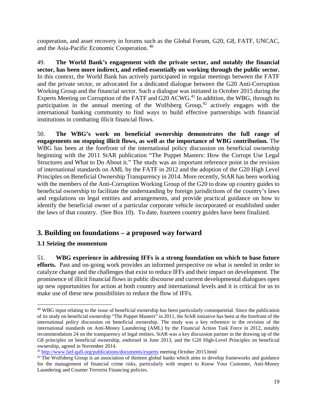cooperation, and asset recovery in forums such as the Global Forum, G20, G8, FATF, UNCAC, and the Asia-Pacific Economic Cooperation. 40

49. **The World Bank's engagement with the private sector, and notably the financial sector, has been more indirect, and relied essentially on working through the public sector.** In this context, the World Bank has actively participated in regular meetings between the FATF and the private sector, or advocated for a dedicated dialogue between the G20 Anti-Corruption Working Group and the financial sector. Such a dialogue was initiated in October 2015 during the Experts Meeting on Corruption of the FATF and G20 ACWG.<sup>41</sup> In addition, the WBG, through its participation in the annual meeting of the Wolfsberg Group,<sup>42</sup> actively engages with the international banking community to find ways to build effective partnerships with financial institutions in combating illicit financial flows.

50. **The WBG's work on beneficial ownership demonstrates the full range of engagements on stopping illicit flows, as well as the importance of WBG contribution.** The WBG has been at the forefront of the international policy discussion on beneficial ownership beginning with the 2011 StAR publication "The Puppet Masters: How the Corrupt Use Legal Structures and What to Do About it." The study was an important reference point in the revision of international standards on AML by the FATF in 2012 and the adoption of the G20 High Level Principles on Beneficial Ownership Transparency in 2014. More recently, StAR has been working with the members of the Anti-Corruption Working Group of the G20 to draw up country guides to beneficial ownership to facilitate the understanding by foreign jurisdictions of the country's laws and regulations on legal entities and arrangements, and provide practical guidance on how to identify the beneficial owner of a particular corporate vehicle incorporated or established under the laws of that country. (See Box 10). To date, fourteen country guides have been finalized.

# **3. Building on foundations – a proposed way forward**

# **3.1 Seizing the momentum**

l

51. **WBG experience in addressing IFFs is a strong foundation on which to base future efforts.** Past and on-going work provides an informed perspective on what is needed in order to catalyze change and the challenges that exist to reduce IFFs and their impact on development. The prominence of illicit financial flows in public discourse and current developmental dialogues open up new opportunities for action at both country and international levels and it is critical for us to make use of these new possibilities to reduce the flow of IFFs.

<sup>&</sup>lt;sup>40</sup> WBG input relating to the issue of beneficial ownership has been particularly consequential. Since the publication of its study on beneficial ownership "The Puppet Masters" in 2011, the StAR initiative has been at the forefront of the international policy discussion on beneficial ownership. The study was a key reference in the revision of the international standards on Anti-Money Laundering (AML) by the Financial Action Task Force in 2012, notably recommendation 24 on the transparency of legal entities. StAR was a key discussion partner in the drawing up of the G8 principles on beneficial ownership, endorsed in June 2013, and the G20 High-Level Principles on beneficial ownership, agreed in November 2014.<br><sup>41</sup> http://www.fatf-gafi.org/publications/documents/experts meeting October 2015.html

 $42$  The Wolfsberg Group is an association of thirteen global banks which aims to develop frameworks and guidance for the management of financial crime risks, particularly with respect to Know Your Customer, Anti-Money Laundering and Counter Terrorist Financing policies.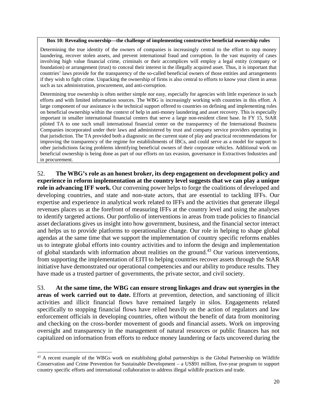#### **Box 10: Revealing ownership—the challenge of implementing constructive beneficial ownership rules**

Determining the true identity of the owners of companies is increasingly central to the effort to stop money laundering, recover stolen assets, and prevent international fraud and corruption. In the vast majority of cases involving high value financial crime, criminals or their accomplices will employ a legal entity (company or foundation) or arrangement (trust) to conceal their interest in the illegally acquired asset. Thus, it is important that countries' laws provide for the transparency of the so-called beneficial owners of those entities and arrangements if they wish to fight crime. Unpacking the ownership of firms is also central to efforts to know your client in areas such as tax administration, procurement, and anti-corruption.

Determining true ownership is often neither simple nor easy, especially for agencies with little experience in such efforts and with limited information sources. The WBG is increasingly working with countries in this effort. A large component of our assistance is the technical support offered to countries on defining and implementing rules on beneficial ownership within the context of help in anti-money laundering and asset recovery. This is especially important in smaller international financial centers that serve a large non-resident client base. In FY 15, StAR piloted TA to one such small international financial center on the transparency of the International Business Companies incorporated under their laws and administered by trust and company service providers operating in that jurisdiction. The TA provided both a diagnostic on the current state of play and practical recommendations for improving the transparency of the regime for establishments of IBCs, and could serve as a model for support to other jurisdictions facing problems identifying beneficial owners of their corporate vehicles. Additional work on beneficial ownership is being done as part of our efforts on tax evasion, governance in Extractives Industries and in procurement.

52. **The WBG's role as an honest broker, its deep engagement on development policy and experience in reform implementation at the country level suggests that we can play a unique role in advancing IFF work.** Our convening power helps to forge the coalitions of developed and developing countries, and state and non-state actors, that are essential to tackling IFFs. Our expertise and experience in analytical work related to IFFs and the activities that generate illegal revenues places us at the forefront of measuring IFFs at the country level and using the analyses to identify targeted actions. Our portfolio of interventions in areas from trade policies to financial asset declarations gives us insight into how government, business, and the financial sector interact and helps us to provide platforms to operationalize change. Our role in helping to shape global agendas at the same time that we support the implementation of country specific reforms enables us to integrate global efforts into country activities and to inform the design and implementation of global standards with information about realities on the ground.<sup>43</sup> Our various interventions, from supporting the implementation of EITI to helping countries recover assets through the StAR initiative have demonstrated our operational competencies and our ability to produce results. They have made us a trusted partner of governments, the private sector, and civil society.

53. **At the same time, the WBG can ensure strong linkages and draw out synergies in the areas of work carried out to date.** Efforts at prevention, detection, and sanctioning of illicit activities and illicit financial flows have remained largely in silos. Engagements related specifically to stopping financial flows have relied heavily on the action of regulators and law enforcement officials in developing countries, often without the benefit of data from monitoring and checking on the cross-border movement of goods and financial assets. Work on improving oversight and transparency in the management of natural resources or public finances has not capitalized on information from efforts to reduce money laundering or facts uncovered during the

<sup>&</sup>lt;sup>43</sup> A recent example of the WBGs work on establishing global partnerships is the Global Partnership on Wildlife Conservation and Crime Prevention for Sustainable Development – a US\$91 million, five-year program to support country specific efforts and international collaboration to address illegal wildlife practices and trade.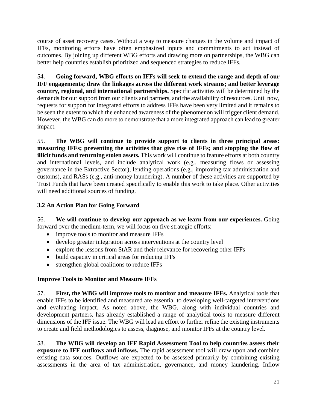course of asset recovery cases. Without a way to measure changes in the volume and impact of IFFs, monitoring efforts have often emphasized inputs and commitments to act instead of outcomes. By joining up different WBG efforts and drawing more on partnerships, the WBG can better help countries establish prioritized and sequenced strategies to reduce IFFs.

54. **Going forward, WBG efforts on IFFs will seek to extend the range and depth of our IFF engagements; draw the linkages across the different work streams; and better leverage country, regional, and international partnerships.** Specific activities will be determined by the demands for our support from our clients and partners, and the availability of resources. Until now, requests for support for integrated efforts to address IFFs have been very limited and it remains to be seen the extent to which the enhanced awareness of the phenomenon will trigger client demand. However, the WBG can do more to demonstrate that a more integrated approach can lead to greater impact.

55. **The WBG will continue to provide support to clients in three principal areas: measuring IFFs; preventing the activities that give rise of IFFs; and stopping the flow of illicit funds and returning stolen assets.** This work will continue to feature efforts at both country and international levels, and include analytical work (e.g., measuring flows or assessing governance in the Extractive Sector), lending operations (e.g., improving tax administration and customs), and RASs (e.g., anti-money laundering). A number of these activities are supported by Trust Funds that have been created specifically to enable this work to take place. Other activities will need additional sources of funding.

# **3.2 An Action Plan for Going Forward**

56. **We will continue to develop our approach as we learn from our experiences.** Going forward over the medium-term, we will focus on five strategic efforts:

- improve tools to monitor and measure IFFs
- develop greater integration across interventions at the country level
- explore the lessons from StAR and their relevance for recovering other IFFs
- build capacity in critical areas for reducing IFFs
- strengthen global coalitions to reduce IFFs

# **Improve Tools to Monitor and Measure IFFs**

57. **First, the WBG will improve tools to monitor and measure IFFs.** Analytical tools that enable IFFs to be identified and measured are essential to developing well-targeted interventions and evaluating impact. As noted above, the WBG, along with individual countries and development partners, has already established a range of analytical tools to measure different dimensions of the IFF issue. The WBG will lead an effort to further refine the existing instruments to create and field methodologies to assess, diagnose, and monitor IFFs at the country level.

58. **The WBG will develop an IFF Rapid Assessment Tool to help countries assess their exposure to IFF outflows and inflows.** The rapid assessment tool will draw upon and combine existing data sources. Outflows are expected to be assessed primarily by combining existing assessments in the area of tax administration, governance, and money laundering. Inflow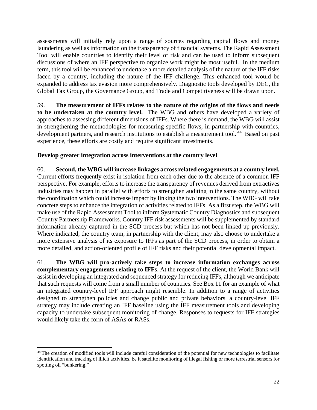assessments will initially rely upon a range of sources regarding capital flows and money laundering as well as information on the transparency of financial systems. The Rapid Assessment Tool will enable countries to identify their level of risk and can be used to inform subsequent discussions of where an IFF perspective to organize work might be most useful. In the medium term, this tool will be enhanced to undertake a more detailed analysis of the nature of the IFF risks faced by a country, including the nature of the IFF challenge. This enhanced tool would be expanded to address tax evasion more comprehensively. Diagnostic tools developed by DEC, the Global Tax Group, the Governance Group, and Trade and Competitiveness will be drawn upon.

59. **The measurement of IFFs relates to the nature of the origins of the flows and needs to be undertaken at the country level.** The WBG and others have developed a variety of approaches to assessing different dimensions of IFFs. Where there is demand, the WBG will assist in strengthening the methodologies for measuring specific flows, in partnership with countries, development partners, and research institutions to establish a measurement tool.<sup>44</sup> Based on past experience, these efforts are costly and require significant investments.

## **Develop greater integration across interventions at the country level**

60. **Second, the WBG will increase linkages across related engagements at a country level.** Current efforts frequently exist in isolation from each other due to the absence of a common IFF perspective. For example, efforts to increase the transparency of revenues derived from extractives industries may happen in parallel with efforts to strengthen auditing in the same country, without the coordination which could increase impact by linking the two interventions. The WBG will take concrete steps to enhance the integration of activities related to IFFs. As a first step, the WBG will make use of the Rapid Assessment Tool to inform Systematic Country Diagnostics and subsequent Country Partnership Frameworks. Country IFF risk assessments will be supplemented by standard information already captured in the SCD process but which has not been linked up previously. Where indicated, the country team, in partnership with the client, may also choose to undertake a more extensive analysis of its exposure to IFFs as part of the SCD process, in order to obtain a more detailed, and action-oriented profile of IFF risks and their potential developmental impact.

61. **The WBG will pro-actively take steps to increase information exchanges across complementary engagements relating to IFFs**. At the request of the client, the World Bank will assist in developing an integrated and sequenced strategy for reducing IFFs, although we anticipate that such requests will come from a small number of countries. See Box 11 for an example of what an integrated country-level IFF approach might resemble. In addition to a range of activities designed to strengthen policies and change public and private behaviors, a country-level IFF strategy may include creating an IFF baseline using the IFF measurement tools and developing capacity to undertake subsequent monitoring of change. Responses to requests for IFF strategies would likely take the form of ASAs or RASs.

<sup>&</sup>lt;sup>44</sup> The creation of modified tools will include careful consideration of the potential for new technologies to facilitate identification and tracking of illicit activities, be it satellite monitoring of illegal fishing or more terrestrial sensors for spotting oil "bunkering."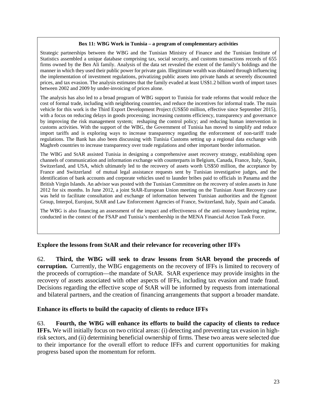#### **Box 11: WBG Work in Tunisia – a program of complementary activities**

Strategic partnerships between the WBG and the Tunisian Ministry of Finance and the Tunisian Institute of Statistics assembled a unique database comprising tax, social security, and customs transactions records of 655 firms owned by the Ben Ali family. Analysis of the data set revealed the extent of the family's holdings and the manner in which they used their public power for private gain. Illegitimate wealth was obtained through influencing the implementation of investment regulations, privatizing public assets into private hands at severely discounted prices, and tax evasion. The analysis estimates that the family evaded at least US\$1.2 billion worth of import taxes between 2002 and 2009 by under-invoicing of prices alone.

The analysis has also led to a broad program of WBG support to Tunisia for trade reforms that would reduce the cost of formal trade, including with neighboring countries, and reduce the incentives for informal trade. The main vehicle for this work is the Third Export Development Project (US\$50 million, effective since September 2015), with a focus on reducing delays in goods processing; increasing customs efficiency, transparency and governance by improving the risk management system; reshaping the control policy; and reducing human intervention in customs activities. With the support of the WBG, the Government of Tunisia has moved to simplify and reduce import tariffs and is exploring ways to increase transparency regarding the enforcement of non-tariff trade regulations. The Bank has also been discussing with Tunisia Customs setting up a regional data exchange with Maghreb countries to increase transparency over trade regulations and other important border information.

The WBG and StAR assisted Tunisia in designing a comprehensive asset recovery strategy, establishing open channels of communication and information exchange with counterparts in Belgium, Canada, France, Italy, Spain, Switzerland, and USA, which ultimately led to the recovery of assets worth US\$50 million, the acceptance by France and Switzerland of mutual legal assistance requests sent by Tunisian investigative judges, and the identification of bank accounts and corporate vehicles used to launder bribes paid to officials in Panama and the British Virgin Islands. An advisor was posted with the Tunisian Committee on the recovery of stolen assets in June 2012 for six months. In June 2012, a joint StAR-European Union meeting on the Tunisian Asset Recovery case was held to facilitate consultation and exchange of information between Tunisian authorities and the Egmont Group, Interpol, Eurojust, StAR and Law Enforcement Agencies of France, Switzerland, Italy, Spain and Canada.

The WBG is also financing an assessment of the impact and effectiveness of the anti-money laundering regime, conducted in the context of the FSAP and Tunisia's membership in the MENA Financial Action Task Force.

## **Explore the lessons from StAR and their relevance for recovering other IFFs**

62. **Third, the WBG will seek to draw lessons from StAR beyond the proceeds of corruption.** Currently, the WBG engagements on the recovery of IFFs is limited to recovery of the proceeds of corruption—the mandate of StAR. StAR experience may provide insights in the recovery of assets associated with other aspects of IFFs, including tax evasion and trade fraud. Decisions regarding the effective scope of StAR will be informed by requests from international and bilateral partners, and the creation of financing arrangements that support a broader mandate.

## **Enhance its efforts to build the capacity of clients to reduce IFFs**

63. **Fourth, the WBG will enhance its efforts to build the capacity of clients to reduce IFFs.** We will initially focus on two critical areas: (i) detecting and preventing tax evasion in highrisk sectors, and (ii) determining beneficial ownership of firms. These two areas were selected due to their importance for the overall effort to reduce IFFs and current opportunities for making progress based upon the momentum for reform.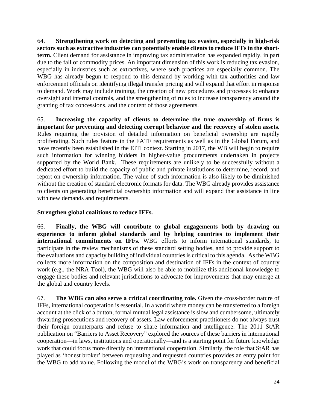64. **Strengthening work on detecting and preventing tax evasion, especially in high-risk sectors such as extractive industries can potentially enable clients to reduce IFFs in the shortterm.** Client demand for assistance in improving tax administration has expanded rapidly, in part due to the fall of commodity prices. An important dimension of this work is reducing tax evasion, especially in industries such as extractives, where such practices are especially common. The WBG has already begun to respond to this demand by working with tax authorities and law enforcement officials on identifying illegal transfer pricing and will expand that effort in response to demand. Work may include training, the creation of new procedures and processes to enhance oversight and internal controls, and the strengthening of rules to increase transparency around the granting of tax concessions, and the content of those agreements.

65. **Increasing the capacity of clients to determine the true ownership of firms is important for preventing and detecting corrupt behavior and the recovery of stolen assets.** Rules requiring the provision of detailed information on beneficial ownership are rapidly proliferating. Such rules feature in the FATF requirements as well as in the Global Forum, and have recently been established in the EITI context. Starting in 2017, the WB will begin to require such information for winning bidders in higher-value procurements undertaken in projects supported by the World Bank. These requirements are unlikely to be successfully without a dedicated effort to build the capacity of public and private institutions to determine, record, and report on ownership information. The value of such information is also likely to be diminished without the creation of standard electronic formats for data. The WBG already provides assistance to clients on generating beneficial ownership information and will expand that assistance in line with new demands and requirements.

## **Strengthen global coalitions to reduce IFFs.**

66. **Finally, the WBG will contribute to global engagements both by drawing on experience to inform global standards and by helping countries to implement their international commitments on IFFs.** WBG efforts to inform international standards, to participate in the review mechanisms of these standard setting bodies, and to provide support to the evaluations and capacity building of individual countries is critical to this agenda. As the WBG collects more information on the composition and destination of IFFs in the context of country work (e.g., the NRA Tool), the WBG will also be able to mobilize this additional knowledge to engage these bodies and relevant jurisdictions to advocate for improvements that may emerge at the global and country levels.

67. **The WBG can also serve a critical coordinating role.** Given the cross-border nature of IFFs, international cooperation is essential. In a world where money can be transferred to a foreign account at the click of a button, formal mutual legal assistance is slow and cumbersome, ultimately thwarting prosecutions and recovery of assets. Law enforcement practitioners do not always trust their foreign counterparts and refuse to share information and intelligence. The 2011 StAR publication on "Barriers to Asset Recovery" explored the sources of these barriers in international cooperation—in laws, institutions and operationally—and is a starting point for future knowledge work that could focus more directly on international cooperation. Similarly, the role that StAR has played as 'honest broker' between requesting and requested countries provides an entry point for the WBG to add value. Following the model of the WBG's work on transparency and beneficial